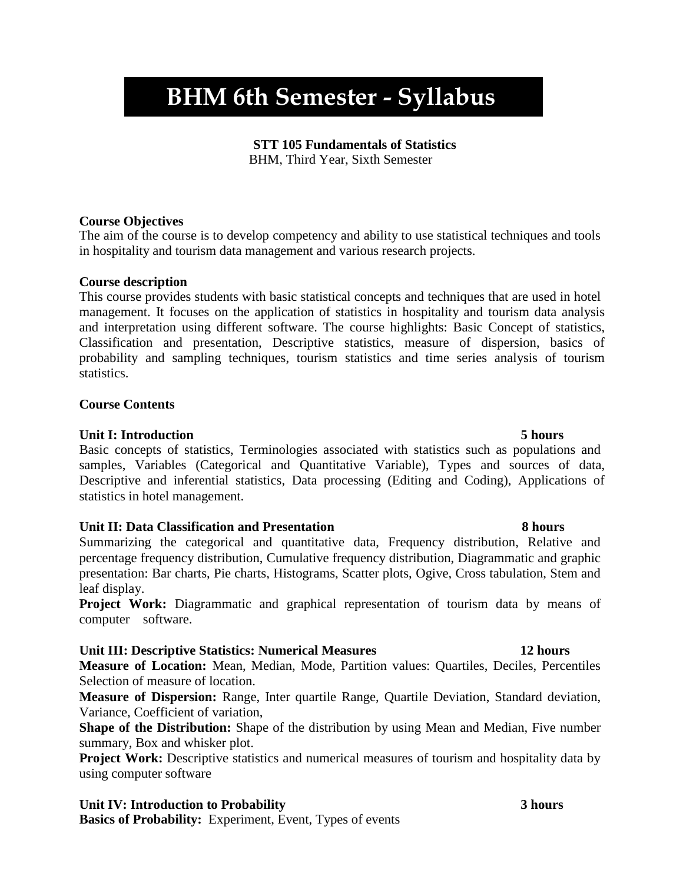# **BHM 6th Semester - Syllabus**

#### **STT 105 Fundamentals of Statistics**

BHM, Third Year, Sixth Semester

#### **Course Objectives**

The aim of the course is to develop competency and ability to use statistical techniques and tools in hospitality and tourism data management and various research projects.

### **Course description**

This course provides students with basic statistical concepts and techniques that are used in hotel management. It focuses on the application of statistics in hospitality and tourism data analysis and interpretation using different software. The course highlights: Basic Concept of statistics, Classification and presentation, Descriptive statistics, measure of dispersion, basics of probability and sampling techniques, tourism statistics and time series analysis of tourism statistics.

### **Course Contents**

### **Unit I: Introduction 5 hours**

Basic concepts of statistics, Terminologies associated with statistics such as populations and samples, Variables (Categorical and Quantitative Variable), Types and sources of data, Descriptive and inferential statistics, Data processing (Editing and Coding), Applications of statistics in hotel management.

### **Unit II: Data Classification and Presentation 8 hours**

Summarizing the categorical and quantitative data, Frequency distribution, Relative and percentage frequency distribution, Cumulative frequency distribution, Diagrammatic and graphic presentation: Bar charts, Pie charts, Histograms, Scatter plots, Ogive, Cross tabulation, Stem and leaf display.

Project Work: Diagrammatic and graphical representation of tourism data by means of computer software.

### **Unit III: Descriptive Statistics: Numerical Measures 12 hours**

**Measure of Location:** Mean, Median, Mode, Partition values: Quartiles, Deciles, Percentiles Selection of measure of location.

**Measure of Dispersion:** Range, Inter quartile Range, Quartile Deviation, Standard deviation, Variance, Coefficient of variation,

**Shape of the Distribution:** Shape of the distribution by using Mean and Median, Five number summary, Box and whisker plot.

**Project Work:** Descriptive statistics and numerical measures of tourism and hospitality data by using computer software

# **Unit IV: Introduction to Probability 3 hours**

**Basics of Probability:** Experiment, Event, Types of events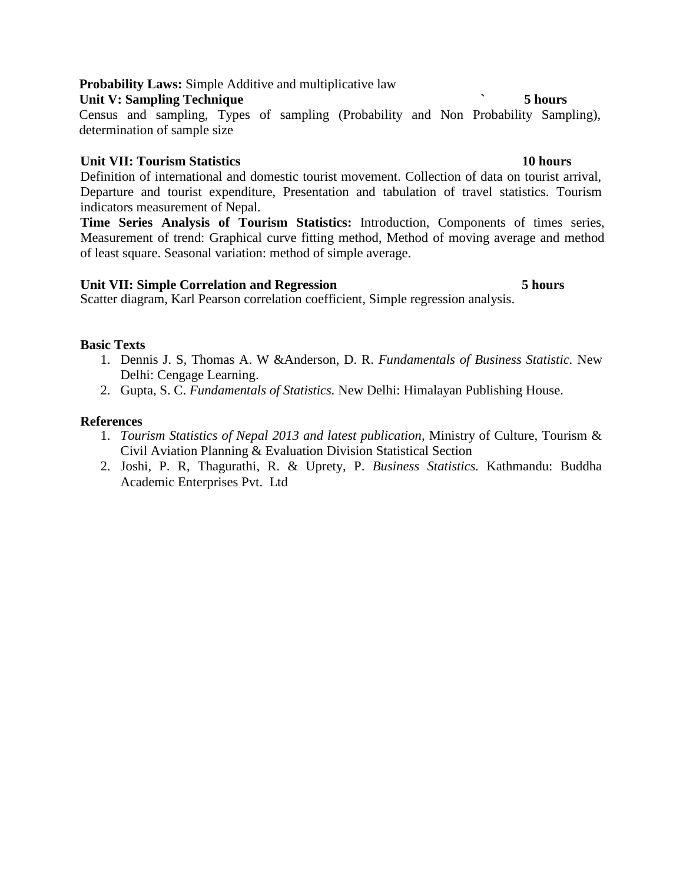### **Probability Laws:** Simple Additive and multiplicative law

# **Unit V:** Sampling Technique **5 hours 5 hours**

Census and sampling, Types of sampling (Probability and Non Probability Sampling), determination of sample size

# **Unit VII: Tourism Statistics 10 hours**

Definition of international and domestic tourist movement. Collection of data on tourist arrival, Departure and tourist expenditure, Presentation and tabulation of travel statistics. Tourism indicators measurement of Nepal.

**Time Series Analysis of Tourism Statistics:** Introduction, Components of times series, Measurement of trend: Graphical curve fitting method, Method of moving average and method of least square. Seasonal variation: method of simple average.

# **Unit VII: Simple Correlation and Regression 5 hours**

Scatter diagram, Karl Pearson correlation coefficient, Simple regression analysis.

# **Basic Texts**

- 1. Dennis J. S, Thomas A. W &Anderson, D. R. *Fundamentals of Business Statistic.* New Delhi: Cengage Learning.
- 2. Gupta, S. C. *Fundamentals of Statistics.* New Delhi: Himalayan Publishing House.

- 1. *Tourism Statistics of Nepal 2013 and latest publication,* Ministry of Culture, Tourism & Civil Aviation Planning & Evaluation Division Statistical Section
- 2. Joshi, P. R, Thagurathi, R. & Uprety, P. *Business Statistics.* Kathmandu: Buddha Academic Enterprises Pvt. Ltd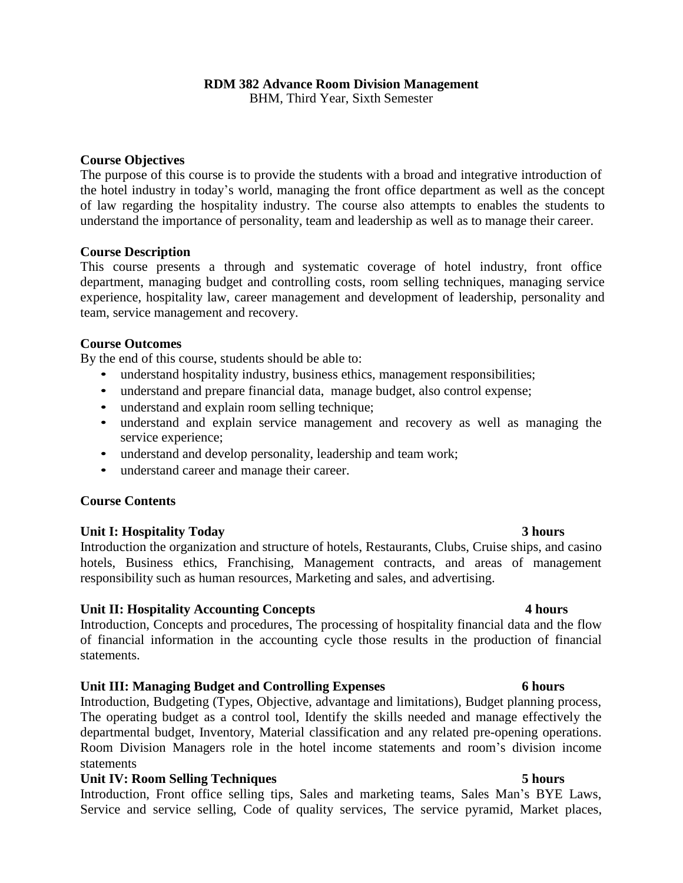### **RDM 382 Advance Room Division Management**

BHM, Third Year, Sixth Semester

### **Course Objectives**

The purpose of this course is to provide the students with a broad and integrative introduction of the hotel industry in today's world, managing the front office department as well as the concept of law regarding the hospitality industry. The course also attempts to enables the students to understand the importance of personality, team and leadership as well as to manage their career.

#### **Course Description**

This course presents a through and systematic coverage of hotel industry, front office department, managing budget and controlling costs, room selling techniques, managing service experience, hospitality law, career management and development of leadership, personality and team, service management and recovery.

#### **Course Outcomes**

By the end of this course, students should be able to:

- understand hospitality industry, business ethics, management responsibilities;
- understand and prepare financial data, manage budget, also control expense;
- understand and explain room selling technique;
- understand and explain service management and recovery as well as managing the service experience;
- understand and develop personality, leadership and team work;
- understand career and manage their career.

### **Course Contents**

### **Unit I: Hospitality Today 3 hours**

Introduction the organization and structure of hotels, Restaurants, Clubs, Cruise ships, and casino hotels, Business ethics, Franchising, Management contracts, and areas of management responsibility such as human resources, Marketing and sales, and advertising.

### **Unit II: Hospitality Accounting Concepts 4 hours**

Introduction, Concepts and procedures, The processing of hospitality financial data and the flow of financial information in the accounting cycle those results in the production of financial statements.

### **Unit III: Managing Budget and Controlling Expenses 6 hours**

Introduction, Budgeting (Types, Objective, advantage and limitations), Budget planning process, The operating budget as a control tool, Identify the skills needed and manage effectively the departmental budget, Inventory, Material classification and any related pre-opening operations. Room Division Managers role in the hotel income statements and room's division income statements

### **Unit IV: Room** Selling Techniques 5 hours **5 hours**

Introduction, Front office selling tips, Sales and marketing teams, Sales Man's BYE Laws, Service and service selling, Code of quality services, The service pyramid, Market places,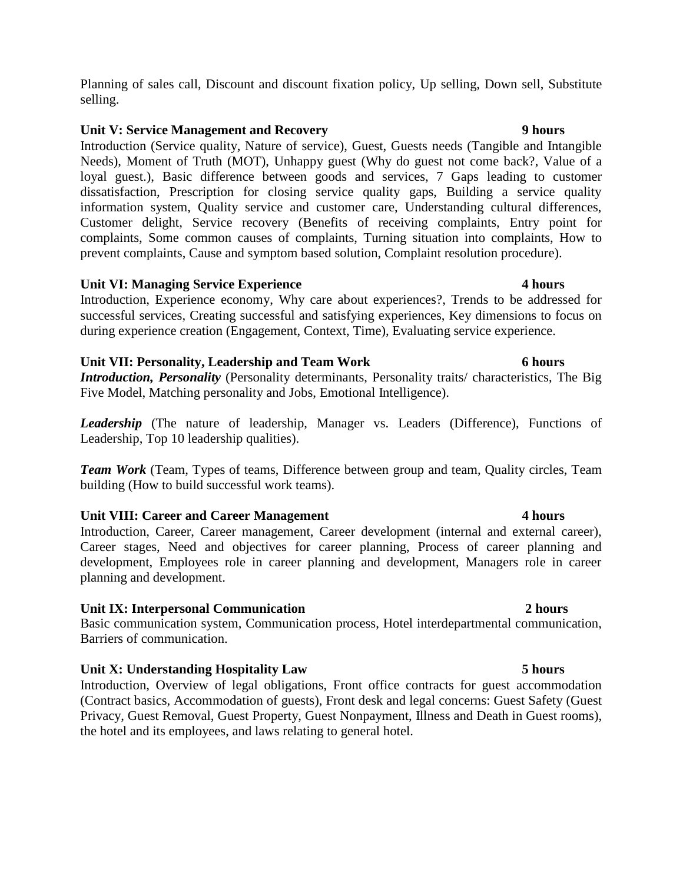### **Unit V: Service Management and Recovery 9 hours**

Introduction (Service quality, Nature of service), Guest, Guests needs (Tangible and Intangible Needs), Moment of Truth (MOT), Unhappy guest (Why do guest not come back?, Value of a loyal guest.), Basic difference between goods and services, 7 Gaps leading to customer dissatisfaction, Prescription for closing service quality gaps, Building a service quality information system, Quality service and customer care, Understanding cultural differences, Customer delight, Service recovery (Benefits of receiving complaints, Entry point for complaints, Some common causes of complaints, Turning situation into complaints, How to prevent complaints, Cause and symptom based solution, Complaint resolution procedure).

#### **Unit VI: Managing Service Experience 4 hours**

Introduction, Experience economy, Why care about experiences?, Trends to be addressed for successful services, Creating successful and satisfying experiences, Key dimensions to focus on during experience creation (Engagement, Context, Time), Evaluating service experience.

### **Unit VII: Personality, Leadership and Team Work 6 hours**

*Introduction, Personality* (Personality determinants, Personality traits/ characteristics, The Big Five Model, Matching personality and Jobs, Emotional Intelligence).

*Leadership* (The nature of leadership, Manager vs. Leaders (Difference), Functions of Leadership, Top 10 leadership qualities).

*Team Work* (Team, Types of teams, Difference between group and team, Quality circles, Team building (How to build successful work teams).

### **Unit VIII: Career and Career Management 4 hours**

Introduction, Career, Career management, Career development (internal and external career), Career stages, Need and objectives for career planning, Process of career planning and development, Employees role in career planning and development, Managers role in career planning and development.

### **Unit IX: Interpersonal Communication 2 hours**

Basic communication system, Communication process, Hotel interdepartmental communication, Barriers of communication.

### **Unit X: Understanding Hospitality Law 5 hours**

Introduction, Overview of legal obligations, Front office contracts for guest accommodation (Contract basics, Accommodation of guests), Front desk and legal concerns: Guest Safety (Guest Privacy, Guest Removal, Guest Property, Guest Nonpayment, Illness and Death in Guest rooms), the hotel and its employees, and laws relating to general hotel.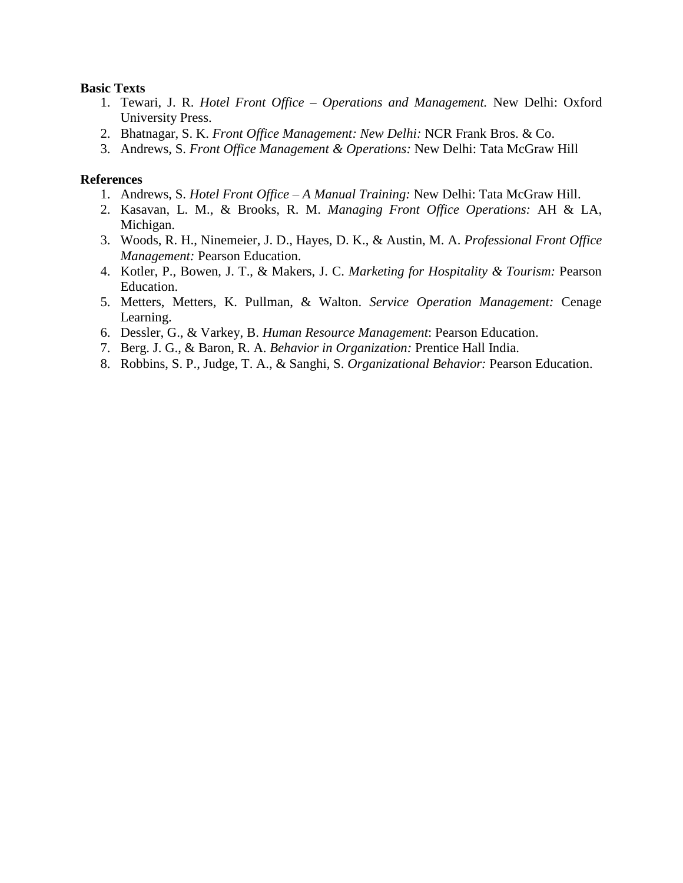#### **Basic Texts**

- 1. Tewari, J. R. *Hotel Front Office – Operations and Management.* New Delhi: Oxford University Press.
- 2. Bhatnagar, S. K. *Front Office Management: New Delhi:* NCR Frank Bros. & Co.
- 3. Andrews, S. *Front Office Management & Operations:* New Delhi: Tata McGraw Hill

- 1. Andrews, S. *Hotel Front Office – A Manual Training:* New Delhi: Tata McGraw Hill.
- 2. Kasavan, L. M., & Brooks, R. M. *Managing Front Office Operations:* AH & LA, Michigan.
- 3. Woods, R. H., Ninemeier, J. D., Hayes, D. K., & Austin, M. A. *Professional Front Office Management:* Pearson Education.
- 4. Kotler, P., Bowen, J. T., & Makers, J. C. *Marketing for Hospitality & Tourism:* Pearson Education.
- 5. Metters, Metters, K. Pullman, & Walton. *Service Operation Management:* Cenage Learning.
- 6. Dessler, G., & Varkey, B. *Human Resource Management*: Pearson Education.
- 7. Berg. J. G., & Baron, R. A. *Behavior in Organization:* Prentice Hall India.
- 8. Robbins, S. P., Judge, T. A., & Sanghi, S. *Organizational Behavior:* Pearson Education.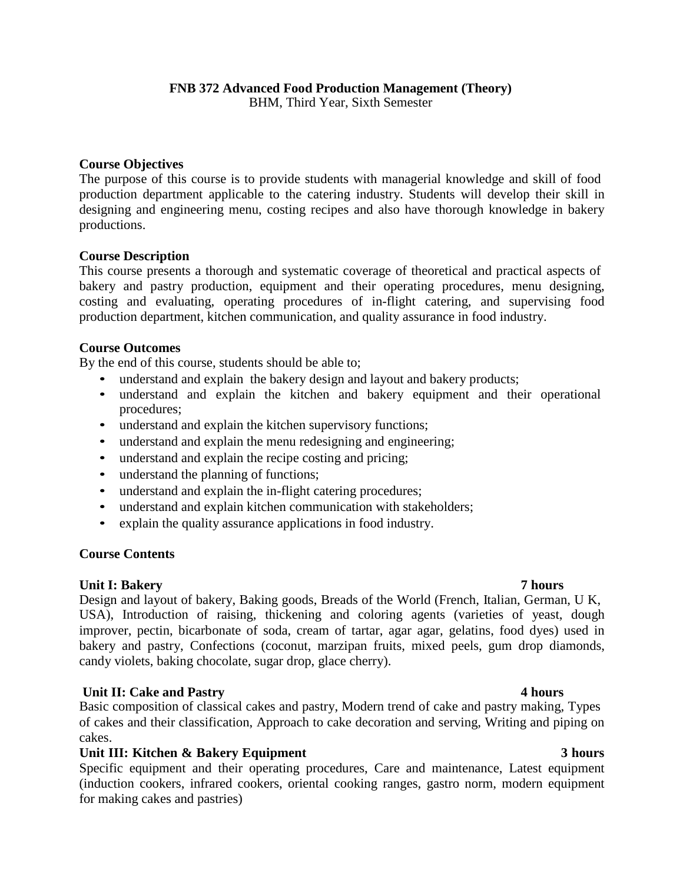BHM, Third Year, Sixth Semester

### **Course Objectives**

The purpose of this course is to provide students with managerial knowledge and skill of food production department applicable to the catering industry. Students will develop their skill in designing and engineering menu, costing recipes and also have thorough knowledge in bakery productions.

#### **Course Description**

This course presents a thorough and systematic coverage of theoretical and practical aspects of bakery and pastry production, equipment and their operating procedures, menu designing, costing and evaluating, operating procedures of in-flight catering, and supervising food production department, kitchen communication, and quality assurance in food industry.

### **Course Outcomes**

By the end of this course, students should be able to;

- understand and explain the bakery design and layout and bakery products;
- understand and explain the kitchen and bakery equipment and their operational procedures;
- understand and explain the kitchen supervisory functions;
- understand and explain the menu redesigning and engineering;
- understand and explain the recipe costing and pricing;
- understand the planning of functions;
- understand and explain the in-flight catering procedures;
- understand and explain kitchen communication with stakeholders;
- explain the quality assurance applications in food industry.

### **Course Contents**

### **Unit I: Bakery 7 hours**

Design and layout of bakery, Baking goods, Breads of the World (French, Italian, German, U K, USA), Introduction of raising, thickening and coloring agents (varieties of yeast, dough improver, pectin, bicarbonate of soda, cream of tartar, agar agar, gelatins, food dyes) used in bakery and pastry, Confections (coconut, marzipan fruits, mixed peels, gum drop diamonds, candy violets, baking chocolate, sugar drop, glace cherry).

### **Unit II: Cake and Pastry 4 hours**

Basic composition of classical cakes and pastry, Modern trend of cake and pastry making, Types of cakes and their classification, Approach to cake decoration and serving, Writing and piping on cakes.

### **Unit III: Kitchen & Bakery Equipment 3 hours**

Specific equipment and their operating procedures, Care and maintenance, Latest equipment (induction cookers, infrared cookers, oriental cooking ranges, gastro norm, modern equipment for making cakes and pastries)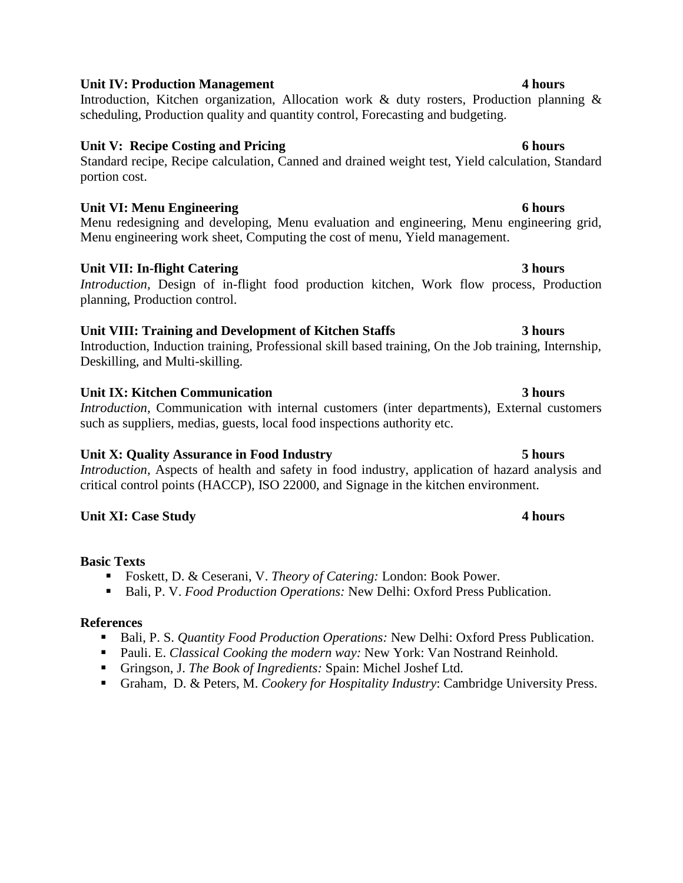# **Unit IV: Production Management 4 hours**

Introduction, Kitchen organization, Allocation work & duty rosters, Production planning & scheduling, Production quality and quantity control, Forecasting and budgeting.

# **Unit V: Recipe Costing and Pricing 6 hours**

Standard recipe, Recipe calculation, Canned and drained weight test, Yield calculation, Standard portion cost.

# **Unit VI: Menu Engineering 6 hours**

Menu redesigning and developing, Menu evaluation and engineering, Menu engineering grid, Menu engineering work sheet, Computing the cost of menu, Yield management.

# **Unit VII: In-flight Catering 3 hours**

*Introduction,* Design of in-flight food production kitchen, Work flow process, Production planning, Production control.

# **Unit VIII: Training and Development of Kitchen Staffs 3 hours**

Introduction, Induction training, Professional skill based training, On the Job training, Internship, Deskilling, and Multi-skilling.

# **Unit IX: Kitchen Communication 3 hours**

*Introduction,* Communication with internal customers (inter departments), External customers such as suppliers, medias, guests, local food inspections authority etc.

# **Unit X: Quality Assurance in Food Industry 5 hours**

*Introduction,* Aspects of health and safety in food industry, application of hazard analysis and critical control points (HACCP), ISO 22000, and Signage in the kitchen environment.

# **Unit XI: Case Study 4 hours**

# **Basic Texts**

- Foskett, D. & Ceserani, V. *Theory of Catering:* London: Book Power.
- Bali, P. V. *Food Production Operations:* New Delhi: Oxford Press Publication.

- Bali, P. S. *Quantity Food Production Operations:* New Delhi: Oxford Press Publication.
- Pauli. E. *Classical Cooking the modern way:* New York: Van Nostrand Reinhold.
- Gringson, J. *The Book of Ingredients:* Spain: Michel Joshef Ltd.
- Graham, D. & Peters, M. *Cookery for Hospitality Industry*: Cambridge University Press.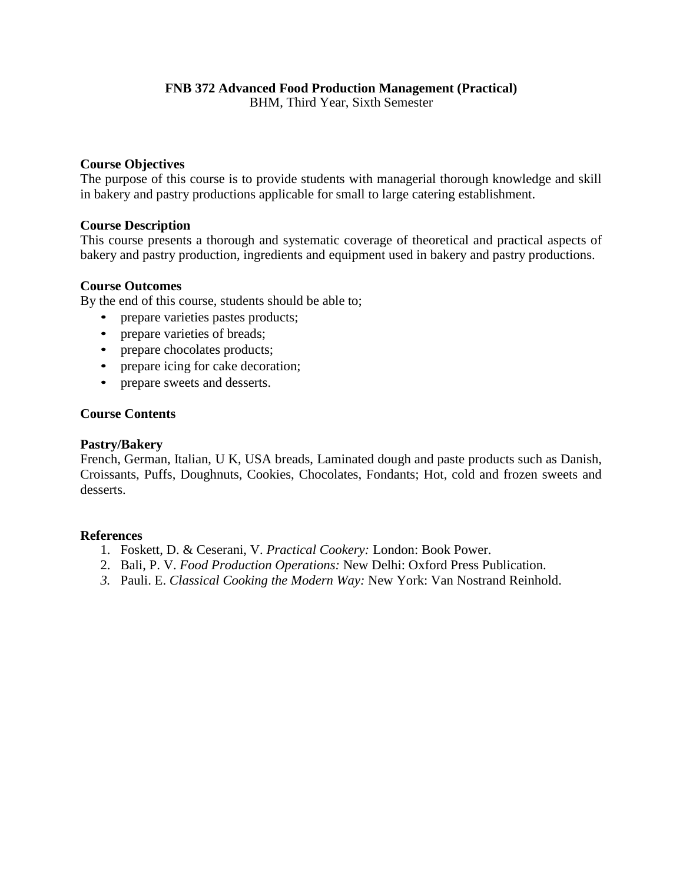# **FNB 372 Advanced Food Production Management (Practical)**

BHM, Third Year, Sixth Semester

### **Course Objectives**

The purpose of this course is to provide students with managerial thorough knowledge and skill in bakery and pastry productions applicable for small to large catering establishment.

#### **Course Description**

This course presents a thorough and systematic coverage of theoretical and practical aspects of bakery and pastry production, ingredients and equipment used in bakery and pastry productions.

#### **Course Outcomes**

By the end of this course, students should be able to;

- prepare varieties pastes products;
- prepare varieties of breads;
- prepare chocolates products;
- prepare icing for cake decoration;
- prepare sweets and desserts.

#### **Course Contents**

#### **Pastry/Bakery**

French, German, Italian, U K, USA breads, Laminated dough and paste products such as Danish, Croissants, Puffs, Doughnuts, Cookies, Chocolates, Fondants; Hot, cold and frozen sweets and desserts.

- 1. Foskett, D. & Ceserani, V. *Practical Cookery:* London: Book Power.
- 2. Bali, P. V. *Food Production Operations:* New Delhi: Oxford Press Publication.
- *3.* Pauli. E. *Classical Cooking the Modern Way:* New York: Van Nostrand Reinhold.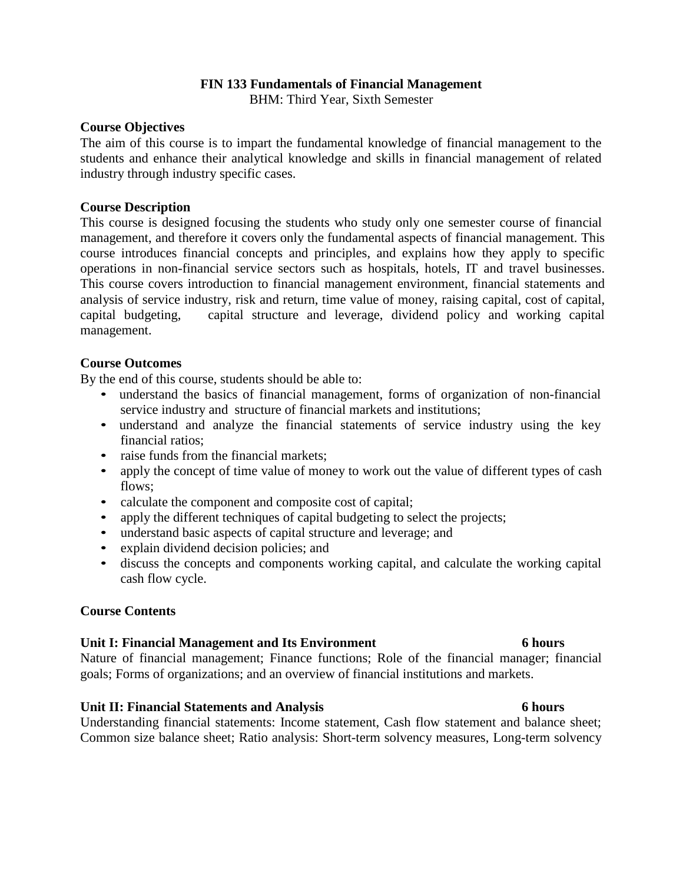### **FIN 133 Fundamentals of Financial Management**

BHM: Third Year, Sixth Semester

#### **Course Objectives**

The aim of this course is to impart the fundamental knowledge of financial management to the students and enhance their analytical knowledge and skills in financial management of related industry through industry specific cases.

### **Course Description**

This course is designed focusing the students who study only one semester course of financial management, and therefore it covers only the fundamental aspects of financial management. This course introduces financial concepts and principles, and explains how they apply to specific operations in non-financial service sectors such as hospitals, hotels, IT and travel businesses. This course covers introduction to financial management environment, financial statements and analysis of service industry, risk and return, time value of money, raising capital, cost of capital, capital budgeting, capital structure and leverage, dividend policy and working capital management.

#### **Course Outcomes**

By the end of this course, students should be able to:

- understand the basics of financial management, forms of organization of non-financial service industry and structure of financial markets and institutions;
- understand and analyze the financial statements of service industry using the key financial ratios;
- raise funds from the financial markets:
- apply the concept of time value of money to work out the value of different types of cash flows;
- calculate the component and composite cost of capital;
- apply the different techniques of capital budgeting to select the projects;
- understand basic aspects of capital structure and leverage; and
- explain dividend decision policies; and
- discuss the concepts and components working capital, and calculate the working capital cash flow cycle.

### **Course Contents**

#### **Unit I: Financial Management and Its Environment 6 hours**

Nature of financial management; Finance functions; Role of the financial manager; financial goals; Forms of organizations; and an overview of financial institutions and markets.

#### **Unit II: Financial Statements and Analysis 6 hours**

Understanding financial statements: Income statement, Cash flow statement and balance sheet; Common size balance sheet; Ratio analysis: Short-term solvency measures, Long-term solvency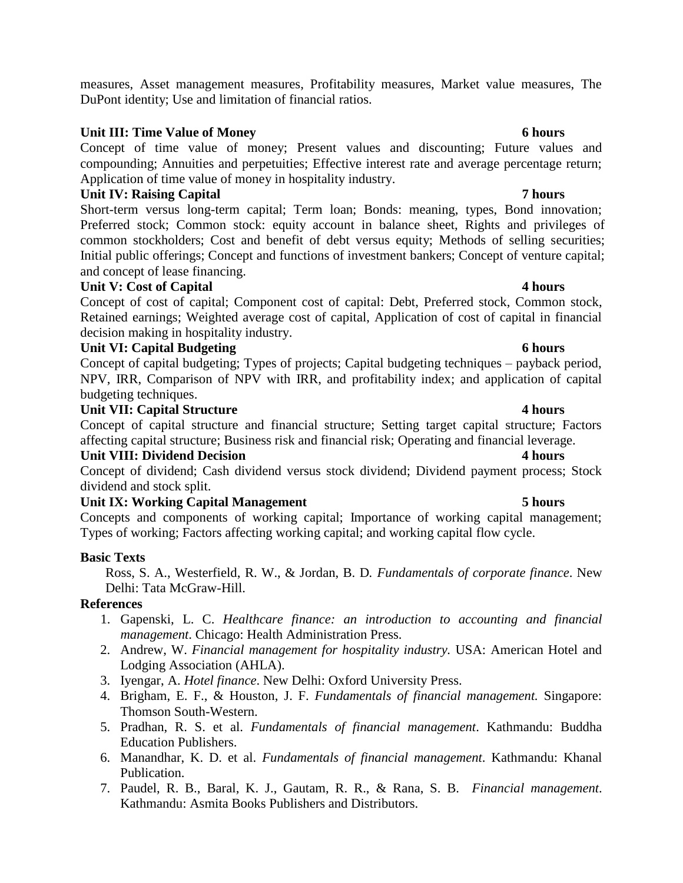measures, Asset management measures, Profitability measures, Market value measures, The DuPont identity; Use and limitation of financial ratios.

### **Unit III: Time Value of Money 6 hours**

Concept of time value of money; Present values and discounting; Future values and compounding; Annuities and perpetuities; Effective interest rate and average percentage return; Application of time value of money in hospitality industry.

# **Unit IV: Raising Capital 7 hours**

Short-term versus long-term capital; Term loan; Bonds: meaning, types, Bond innovation; Preferred stock; Common stock: equity account in balance sheet, Rights and privileges of common stockholders; Cost and benefit of debt versus equity; Methods of selling securities; Initial public offerings; Concept and functions of investment bankers; Concept of venture capital; and concept of lease financing.

### **Unit V: Cost of Capital 4 hours**

Concept of cost of capital; Component cost of capital: Debt, Preferred stock, Common stock, Retained earnings; Weighted average cost of capital, Application of cost of capital in financial decision making in hospitality industry.

# **Unit VI:** Capital Budgeting 6 hours **6 hours**

Concept of capital budgeting; Types of projects; Capital budgeting techniques – payback period, NPV, IRR, Comparison of NPV with IRR, and profitability index; and application of capital budgeting techniques.

# **Unit VII: Capital Structure 4 hours <b>4 hours**

Concept of capital structure and financial structure; Setting target capital structure; Factors affecting capital structure; Business risk and financial risk; Operating and financial leverage.

### **Unit VIII: Dividend Decision 4 hours**

Concept of dividend; Cash dividend versus stock dividend; Dividend payment process; Stock dividend and stock split.

# **Unit IX: Working Capital Management 5 hours**

Concepts and components of working capital; Importance of working capital management; Types of working; Factors affecting working capital; and working capital flow cycle.

### **Basic Texts**

Ross, S. A., Westerfield, R. W., & Jordan, B. D*. Fundamentals of corporate finance*. New Delhi: Tata McGraw-Hill.

- 1. Gapenski, L. C. *Healthcare finance: an introduction to accounting and financial management*. Chicago: Health Administration Press.
- 2. Andrew, W. *Financial management for hospitality industry.* USA: American Hotel and Lodging Association (AHLA).
- 3. Iyengar, A. *Hotel finance*. New Delhi: Oxford University Press.
- 4. Brigham, E. F., & Houston, J. F. *Fundamentals of financial management.* Singapore: Thomson South-Western.
- 5. Pradhan, R. S. et al. *Fundamentals of financial management*. Kathmandu: Buddha Education Publishers.
- 6. Manandhar, K. D. et al. *Fundamentals of financial management*. Kathmandu: Khanal Publication.
- 7. Paudel, R. B., Baral, K. J., Gautam, R. R., & Rana, S. B. *Financial management*. Kathmandu: Asmita Books Publishers and Distributors.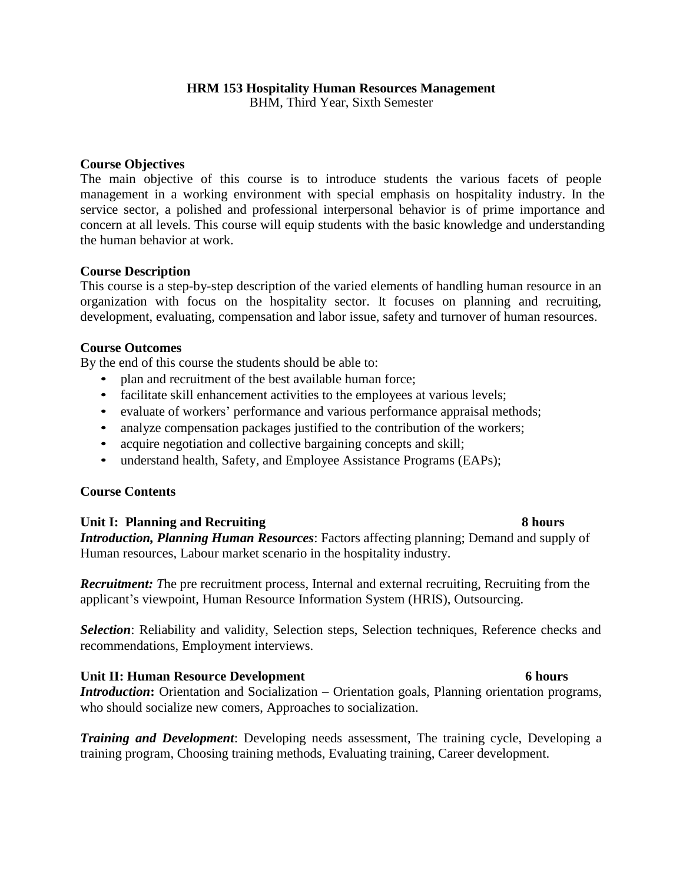BHM, Third Year, Sixth Semester

#### **Course Objectives**

The main objective of this course is to introduce students the various facets of people management in a working environment with special emphasis on hospitality industry. In the service sector, a polished and professional interpersonal behavior is of prime importance and concern at all levels. This course will equip students with the basic knowledge and understanding the human behavior at work.

#### **Course Description**

This course is a step-by-step description of the varied elements of handling human resource in an organization with focus on the hospitality sector. It focuses on planning and recruiting, development, evaluating, compensation and labor issue, safety and turnover of human resources.

#### **Course Outcomes**

By the end of this course the students should be able to:

- plan and recruitment of the best available human force;
- facilitate skill enhancement activities to the employees at various levels;
- evaluate of workers' performance and various performance appraisal methods;
- analyze compensation packages justified to the contribution of the workers;
- acquire negotiation and collective bargaining concepts and skill;
- understand health, Safety, and Employee Assistance Programs (EAPs);

#### **Course Contents**

#### **Unit I: Planning and Recruiting 8 hours**

# *Introduction, Planning Human Resources*: Factors affecting planning; Demand and supply of Human resources, Labour market scenario in the hospitality industry.

*Recruitment: T*he pre recruitment process, Internal and external recruiting, Recruiting from the applicant's viewpoint, Human Resource Information System (HRIS), Outsourcing.

*Selection*: Reliability and validity, Selection steps, Selection techniques, Reference checks and recommendations, Employment interviews.

#### **Unit II: Human Resource Development 6 hours**

*Introduction*: Orientation and Socialization – Orientation goals, Planning orientation programs, who should socialize new comers, Approaches to socialization.

*Training and Development*: Developing needs assessment, The training cycle, Developing a training program, Choosing training methods, Evaluating training, Career development.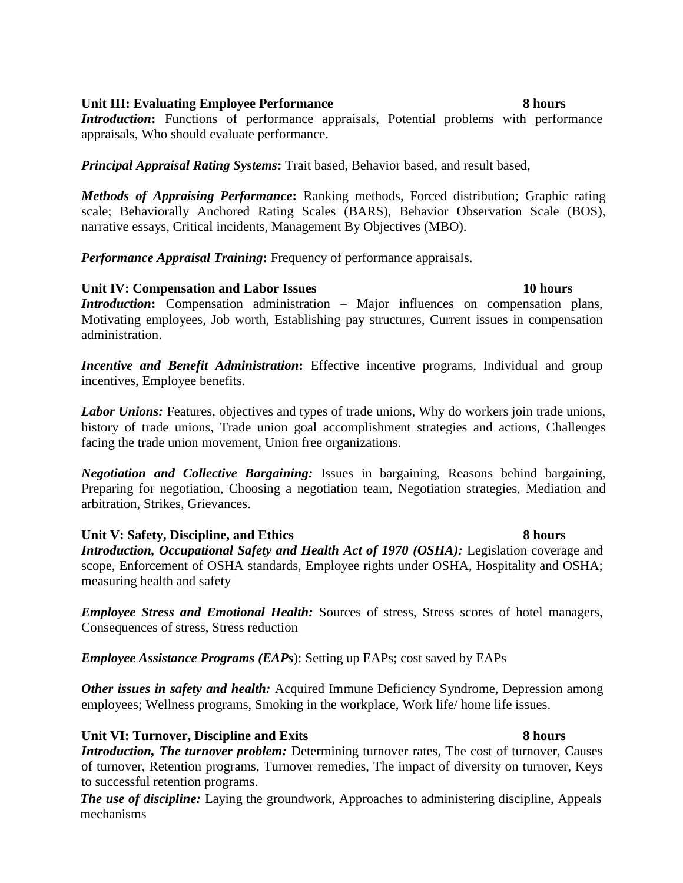### **Unit III: Evaluating Employee Performance 8 hours**

# *Introduction*: Functions of performance appraisals, Potential problems with performance appraisals, Who should evaluate performance.

*Principal Appraisal Rating Systems***:** Trait based, Behavior based, and result based,

*Methods of Appraising Performance***:** Ranking methods, Forced distribution; Graphic rating scale; Behaviorally Anchored Rating Scales (BARS), Behavior Observation Scale (BOS), narrative essays, Critical incidents, Management By Objectives (MBO).

*Performance Appraisal Training***:** Frequency of performance appraisals.

# **Unit IV: Compensation and Labor Issues 10 hours**

*Introduction*: Compensation administration – Major influences on compensation plans, Motivating employees, Job worth, Establishing pay structures, Current issues in compensation administration.

**Incentive and Benefit Administration:** Effective incentive programs, Individual and group incentives, Employee benefits.

*Labor Unions:* Features, objectives and types of trade unions, Why do workers join trade unions, history of trade unions, Trade union goal accomplishment strategies and actions, Challenges facing the trade union movement, Union free organizations.

*Negotiation and Collective Bargaining:* Issues in bargaining, Reasons behind bargaining, Preparing for negotiation, Choosing a negotiation team, Negotiation strategies, Mediation and arbitration, Strikes, Grievances.

# **Unit V: Safety, Discipline, and Ethics 8 hours**

# *Introduction, Occupational Safety and Health Act of 1970 (OSHA):* Legislation coverage and scope, Enforcement of OSHA standards, Employee rights under OSHA, Hospitality and OSHA; measuring health and safety

*Employee Stress and Emotional Health:* Sources of stress, Stress scores of hotel managers, Consequences of stress, Stress reduction

*Employee Assistance Programs (EAPs*): Setting up EAPs; cost saved by EAPs

*Other issues in safety and health:* Acquired Immune Deficiency Syndrome, Depression among employees; Wellness programs, Smoking in the workplace, Work life/ home life issues.

# **Unit VI: Turnover, Discipline and Exits 8 hours**

*Introduction, The turnover problem:* Determining turnover rates, The cost of turnover, Causes of turnover, Retention programs, Turnover remedies, The impact of diversity on turnover, Keys to successful retention programs.

*The use of discipline:* Laying the groundwork, Approaches to administering discipline, Appeals mechanisms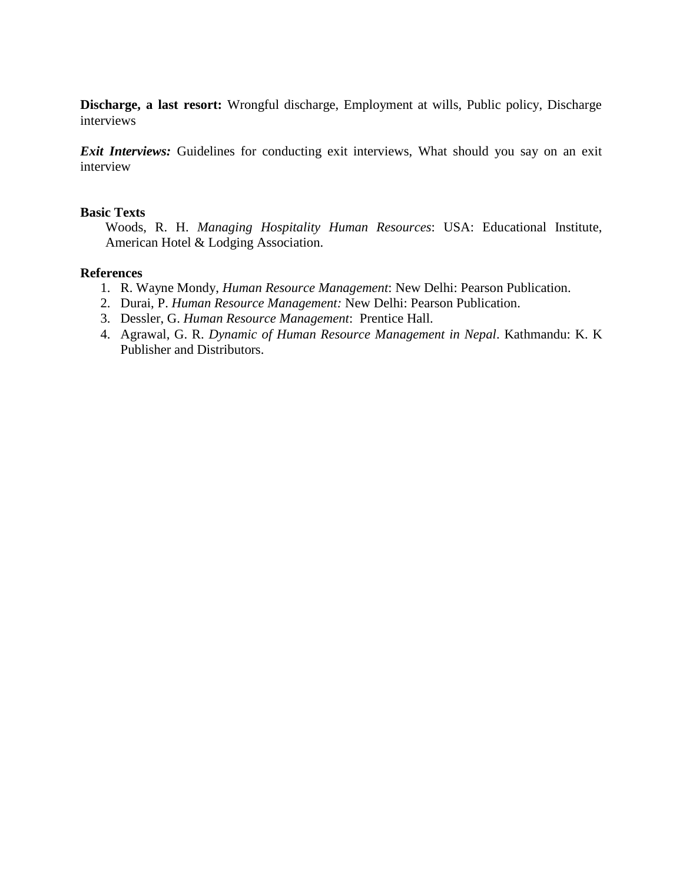**Discharge, a last resort:** Wrongful discharge, Employment at wills, Public policy, Discharge interviews

*Exit Interviews:* Guidelines for conducting exit interviews, What should you say on an exit interview

#### **Basic Texts**

Woods, R. H. *Managing Hospitality Human Resources*: USA: Educational Institute, American Hotel & Lodging Association.

- 1. R. Wayne Mondy, *Human Resource Management*: New Delhi: Pearson Publication.
- 2. Durai, P. *Human Resource Management:* New Delhi: Pearson Publication.
- 3. Dessler, G. *Human Resource Management*: Prentice Hall.
- 4. Agrawal, G. R. *Dynamic of Human Resource Management in Nepal*. Kathmandu: K. K Publisher and Distributors.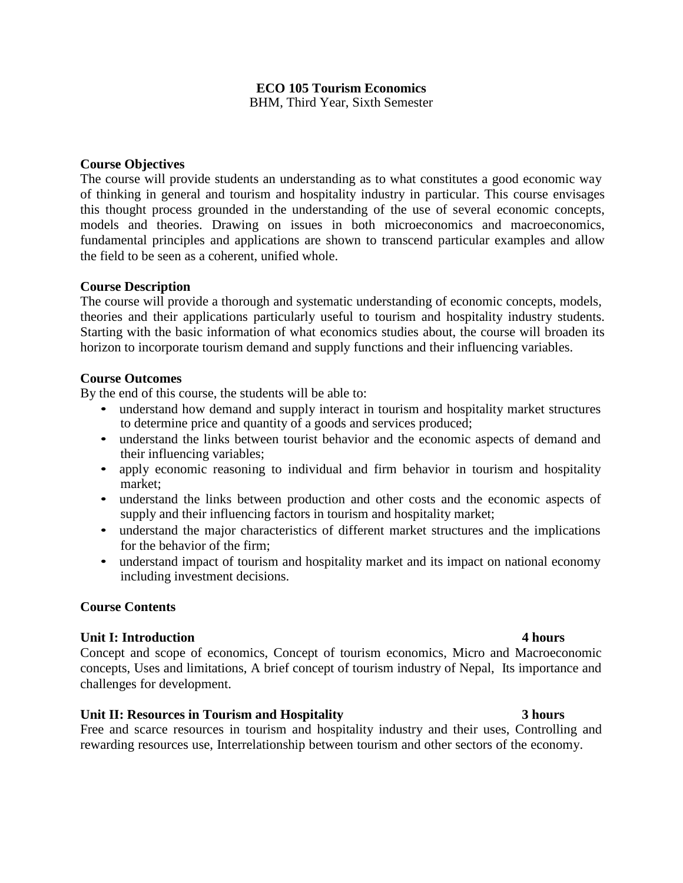### **ECO 105 Tourism Economics** BHM, Third Year, Sixth Semester

#### **Course Objectives**

The course will provide students an understanding as to what constitutes a good economic way of thinking in general and tourism and hospitality industry in particular. This course envisages this thought process grounded in the understanding of the use of several economic concepts, models and theories. Drawing on issues in both microeconomics and macroeconomics, fundamental principles and applications are shown to transcend particular examples and allow the field to be seen as a coherent, unified whole.

#### **Course Description**

The course will provide a thorough and systematic understanding of economic concepts, models, theories and their applications particularly useful to tourism and hospitality industry students. Starting with the basic information of what economics studies about, the course will broaden its horizon to incorporate tourism demand and supply functions and their influencing variables.

### **Course Outcomes**

By the end of this course, the students will be able to:

- understand how demand and supply interact in tourism and hospitality market structures to determine price and quantity of a goods and services produced;
- understand the links between tourist behavior and the economic aspects of demand and their influencing variables;
- apply economic reasoning to individual and firm behavior in tourism and hospitality market;
- understand the links between production and other costs and the economic aspects of supply and their influencing factors in tourism and hospitality market;
- understand the major characteristics of different market structures and the implications for the behavior of the firm;
- understand impact of tourism and hospitality market and its impact on national economy including investment decisions.

### **Course Contents**

#### **Unit I: Introduction 4 hours**

Concept and scope of economics, Concept of tourism economics, Micro and Macroeconomic concepts, Uses and limitations, A brief concept of tourism industry of Nepal, Its importance and challenges for development.

### **Unit II: Resources in Tourism and Hospitality 3 hours**

Free and scarce resources in tourism and hospitality industry and their uses, Controlling and rewarding resources use, Interrelationship between tourism and other sectors of the economy.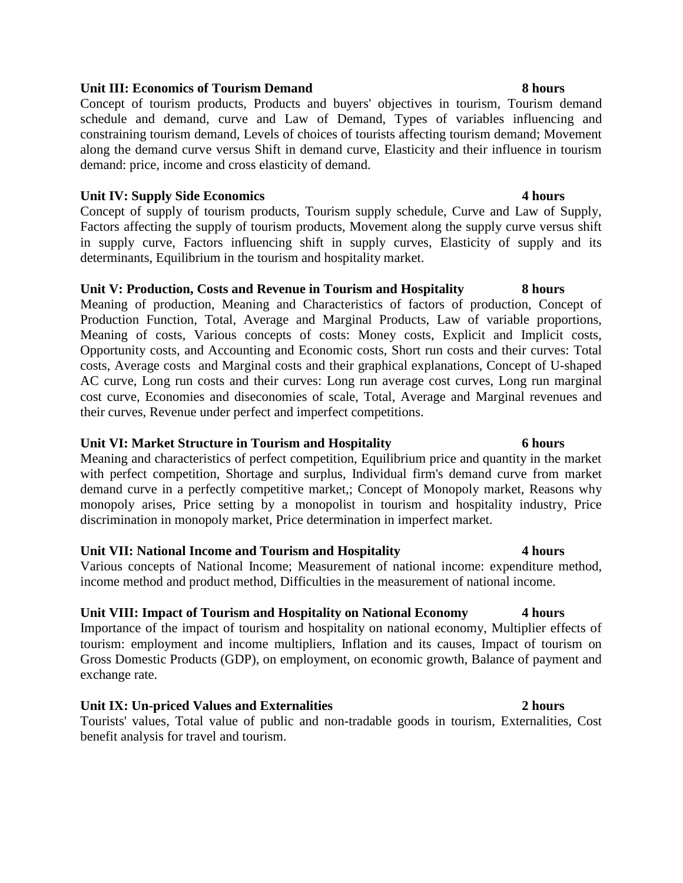#### **Unit III: Economics of Tourism Demand 8 hours**

Concept of tourism products, Products and buyers' objectives in tourism, Tourism demand schedule and demand, curve and Law of Demand, Types of variables influencing and constraining tourism demand, Levels of choices of tourists affecting tourism demand; Movement along the demand curve versus Shift in demand curve, Elasticity and their influence in tourism demand: price, income and cross elasticity of demand.

### **Unit IV: Supply Side Economics 4 hours**

Concept of supply of tourism products, Tourism supply schedule, Curve and Law of Supply, Factors affecting the supply of tourism products, Movement along the supply curve versus shift in supply curve, Factors influencing shift in supply curves, Elasticity of supply and its determinants, Equilibrium in the tourism and hospitality market.

### **Unit V: Production, Costs and Revenue in Tourism and Hospitality 8 hours**

Meaning of production, Meaning and Characteristics of factors of production, Concept of Production Function, Total, Average and Marginal Products, Law of variable proportions, Meaning of costs, Various concepts of costs: Money costs, Explicit and Implicit costs, Opportunity costs, and Accounting and Economic costs, Short run costs and their curves: Total costs, Average costs and Marginal costs and their graphical explanations, Concept of U-shaped AC curve, Long run costs and their curves: Long run average cost curves, Long run marginal cost curve, Economies and diseconomies of scale, Total, Average and Marginal revenues and their curves, Revenue under perfect and imperfect competitions.

### **Unit VI: Market Structure in Tourism and Hospitality 6 hours**

Meaning and characteristics of perfect competition, Equilibrium price and quantity in the market with perfect competition, Shortage and surplus, Individual firm's demand curve from market demand curve in a perfectly competitive market,; Concept of Monopoly market, Reasons why monopoly arises, Price setting by a monopolist in tourism and hospitality industry, Price discrimination in monopoly market, Price determination in imperfect market.

### **Unit VII: National Income and Tourism and Hospitality 4 hours**

Various concepts of National Income; Measurement of national income: expenditure method, income method and product method, Difficulties in the measurement of national income.

### **Unit VIII: Impact of Tourism and Hospitality on National Economy 4 hours**

Importance of the impact of tourism and hospitality on national economy, Multiplier effects of tourism: employment and income multipliers, Inflation and its causes, Impact of tourism on Gross Domestic Products (GDP), on employment, on economic growth, Balance of payment and exchange rate.

### **Unit IX: Un-priced Values and Externalities 2 hours**

Tourists' values, Total value of public and non-tradable goods in tourism, Externalities, Cost benefit analysis for travel and tourism.